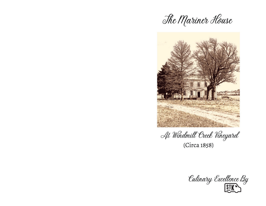



At Windmill Creek Vineyard (Circa 1858)

Eulinary Excellence By